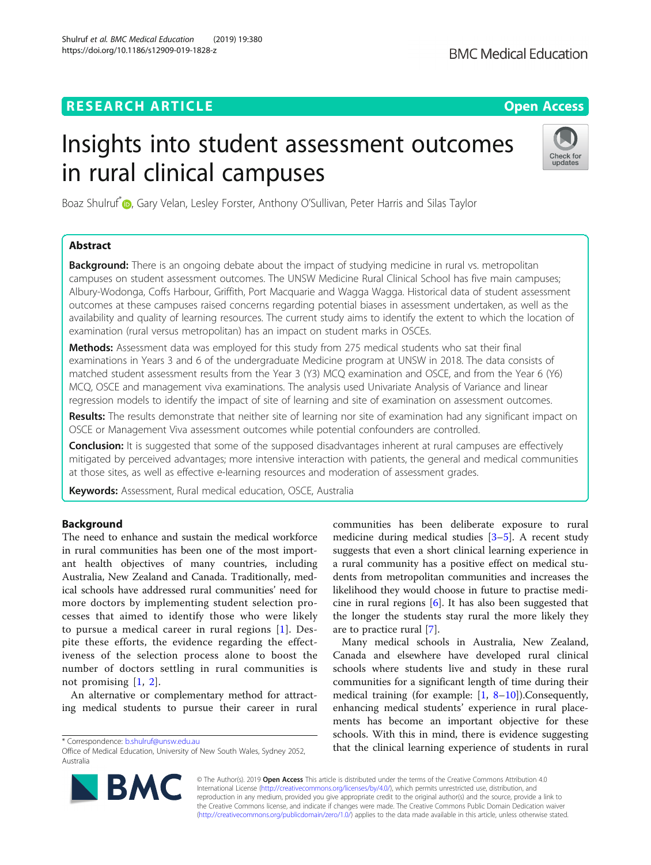## **RESEARCH ARTICLE Example 2014 12:30 The Contract of Contract ACCESS**

# Insights into student assessment outcomes in rural clinical campuses



Boaz Shulruf<sup>\*</sup> (D), Gary Velan, Lesley Forster, Anthony O'Sullivan, Peter Harris and Silas Taylor

### Abstract

**Background:** There is an ongoing debate about the impact of studying medicine in rural vs. metropolitan campuses on student assessment outcomes. The UNSW Medicine Rural Clinical School has five main campuses; Albury-Wodonga, Coffs Harbour, Griffith, Port Macquarie and Wagga Wagga. Historical data of student assessment outcomes at these campuses raised concerns regarding potential biases in assessment undertaken, as well as the availability and quality of learning resources. The current study aims to identify the extent to which the location of examination (rural versus metropolitan) has an impact on student marks in OSCEs.

**Methods:** Assessment data was employed for this study from 275 medical students who sat their final examinations in Years 3 and 6 of the undergraduate Medicine program at UNSW in 2018. The data consists of matched student assessment results from the Year 3 (Y3) MCQ examination and OSCE, and from the Year 6 (Y6) MCQ, OSCE and management viva examinations. The analysis used Univariate Analysis of Variance and linear regression models to identify the impact of site of learning and site of examination on assessment outcomes.

Results: The results demonstrate that neither site of learning nor site of examination had any significant impact on OSCE or Management Viva assessment outcomes while potential confounders are controlled.

**Conclusion:** It is suggested that some of the supposed disadvantages inherent at rural campuses are effectively mitigated by perceived advantages; more intensive interaction with patients, the general and medical communities at those sites, as well as effective e-learning resources and moderation of assessment grades.

Keywords: Assessment, Rural medical education, OSCE, Australia

#### Background

The need to enhance and sustain the medical workforce in rural communities has been one of the most important health objectives of many countries, including Australia, New Zealand and Canada. Traditionally, medical schools have addressed rural communities' need for more doctors by implementing student selection processes that aimed to identify those who were likely to pursue a medical career in rural regions [[1](#page-7-0)]. Despite these efforts, the evidence regarding the effectiveness of the selection process alone to boost the number of doctors settling in rural communities is not promising [[1](#page-7-0), [2\]](#page-7-0).

An alternative or complementary method for attracting medical students to pursue their career in rural

\* Correspondence: [b.shulruf@unsw.edu.au](mailto:b.shulruf@unsw.edu.au)

communities has been deliberate exposure to rural medicine during medical studies  $[3-5]$  $[3-5]$  $[3-5]$  $[3-5]$ . A recent study suggests that even a short clinical learning experience in a rural community has a positive effect on medical students from metropolitan communities and increases the likelihood they would choose in future to practise medicine in rural regions [\[6](#page-7-0)]. It has also been suggested that the longer the students stay rural the more likely they are to practice rural [\[7](#page-7-0)].

Many medical schools in Australia, New Zealand, Canada and elsewhere have developed rural clinical schools where students live and study in these rural communities for a significant length of time during their medical training (for example:  $[1, 8-10]$  $[1, 8-10]$  $[1, 8-10]$  $[1, 8-10]$  $[1, 8-10]$  $[1, 8-10]$  $[1, 8-10]$ ). Consequently, enhancing medical students' experience in rural placements has become an important objective for these schools. With this in mind, there is evidence suggesting that the clinical learning experience of students in rural



© The Author(s). 2019 Open Access This article is distributed under the terms of the Creative Commons Attribution 4.0 International License [\(http://creativecommons.org/licenses/by/4.0/](http://creativecommons.org/licenses/by/4.0/)), which permits unrestricted use, distribution, and reproduction in any medium, provided you give appropriate credit to the original author(s) and the source, provide a link to the Creative Commons license, and indicate if changes were made. The Creative Commons Public Domain Dedication waiver [\(http://creativecommons.org/publicdomain/zero/1.0/](http://creativecommons.org/publicdomain/zero/1.0/)) applies to the data made available in this article, unless otherwise stated.

Office of Medical Education, University of New South Wales, Sydney 2052, Australia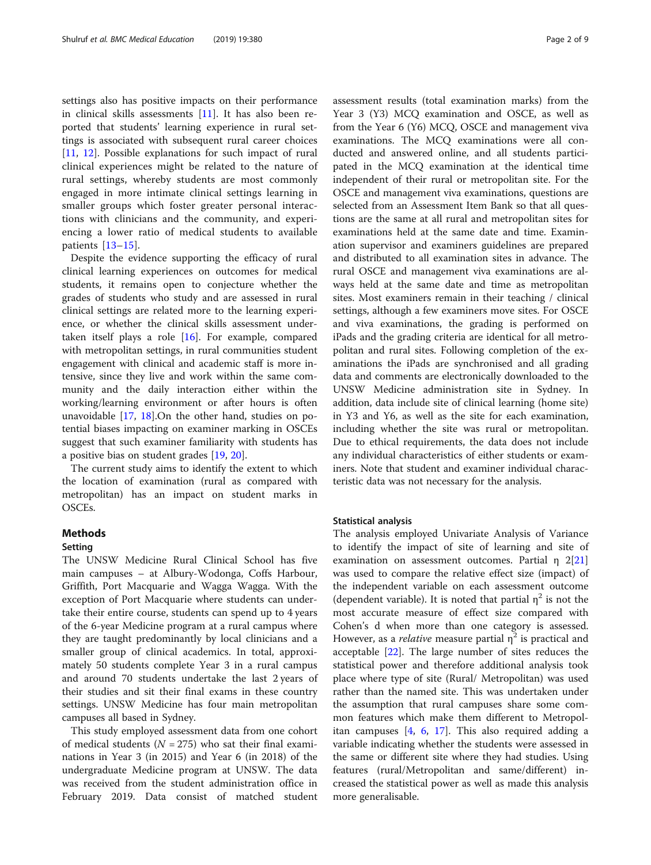settings also has positive impacts on their performance in clinical skills assessments [[11\]](#page-7-0). It has also been reported that students' learning experience in rural settings is associated with subsequent rural career choices [[11,](#page-7-0) [12\]](#page-7-0). Possible explanations for such impact of rural clinical experiences might be related to the nature of rural settings, whereby students are most commonly engaged in more intimate clinical settings learning in smaller groups which foster greater personal interactions with clinicians and the community, and experiencing a lower ratio of medical students to available patients [[13](#page-7-0)–[15\]](#page-7-0).

Despite the evidence supporting the efficacy of rural clinical learning experiences on outcomes for medical students, it remains open to conjecture whether the grades of students who study and are assessed in rural clinical settings are related more to the learning experience, or whether the clinical skills assessment undertaken itself plays a role [[16\]](#page-7-0). For example, compared with metropolitan settings, in rural communities student engagement with clinical and academic staff is more intensive, since they live and work within the same community and the daily interaction either within the working/learning environment or after hours is often unavoidable [[17,](#page-8-0) [18\]](#page-8-0).On the other hand, studies on potential biases impacting on examiner marking in OSCEs suggest that such examiner familiarity with students has a positive bias on student grades [\[19](#page-8-0), [20\]](#page-8-0).

The current study aims to identify the extent to which the location of examination (rural as compared with metropolitan) has an impact on student marks in OSCEs.

#### Methods

#### Setting

The UNSW Medicine Rural Clinical School has five main campuses – at Albury-Wodonga, Coffs Harbour, Griffith, Port Macquarie and Wagga Wagga. With the exception of Port Macquarie where students can undertake their entire course, students can spend up to 4 years of the 6-year Medicine program at a rural campus where they are taught predominantly by local clinicians and a smaller group of clinical academics. In total, approximately 50 students complete Year 3 in a rural campus and around 70 students undertake the last 2 years of their studies and sit their final exams in these country settings. UNSW Medicine has four main metropolitan campuses all based in Sydney.

This study employed assessment data from one cohort of medical students ( $N = 275$ ) who sat their final examinations in Year 3 (in 2015) and Year 6 (in 2018) of the undergraduate Medicine program at UNSW. The data was received from the student administration office in February 2019. Data consist of matched student

assessment results (total examination marks) from the Year 3 (Y3) MCQ examination and OSCE, as well as from the Year 6 (Y6) MCQ, OSCE and management viva examinations. The MCQ examinations were all conducted and answered online, and all students participated in the MCQ examination at the identical time independent of their rural or metropolitan site. For the OSCE and management viva examinations, questions are selected from an Assessment Item Bank so that all questions are the same at all rural and metropolitan sites for examinations held at the same date and time. Examination supervisor and examiners guidelines are prepared and distributed to all examination sites in advance. The rural OSCE and management viva examinations are always held at the same date and time as metropolitan sites. Most examiners remain in their teaching / clinical settings, although a few examiners move sites. For OSCE and viva examinations, the grading is performed on iPads and the grading criteria are identical for all metropolitan and rural sites. Following completion of the examinations the iPads are synchronised and all grading data and comments are electronically downloaded to the UNSW Medicine administration site in Sydney. In addition, data include site of clinical learning (home site) in Y3 and Y6, as well as the site for each examination, including whether the site was rural or metropolitan. Due to ethical requirements, the data does not include any individual characteristics of either students or examiners. Note that student and examiner individual characteristic data was not necessary for the analysis.

#### Statistical analysis

The analysis employed Univariate Analysis of Variance to identify the impact of site of learning and site of examination on assessment outcomes. Partial η 2[[21](#page-8-0)] was used to compare the relative effect size (impact) of the independent variable on each assessment outcome (dependent variable). It is noted that partial  $\eta^2$  is not the most accurate measure of effect size compared with Cohen's d when more than one category is assessed. However, as a *relative* measure partial  $\eta^2$  is practical and acceptable [[22\]](#page-8-0). The large number of sites reduces the statistical power and therefore additional analysis took place where type of site (Rural/ Metropolitan) was used rather than the named site. This was undertaken under the assumption that rural campuses share some common features which make them different to Metropolitan campuses [\[4](#page-7-0), [6](#page-7-0), [17](#page-8-0)]. This also required adding a variable indicating whether the students were assessed in the same or different site where they had studies. Using features (rural/Metropolitan and same/different) increased the statistical power as well as made this analysis more generalisable.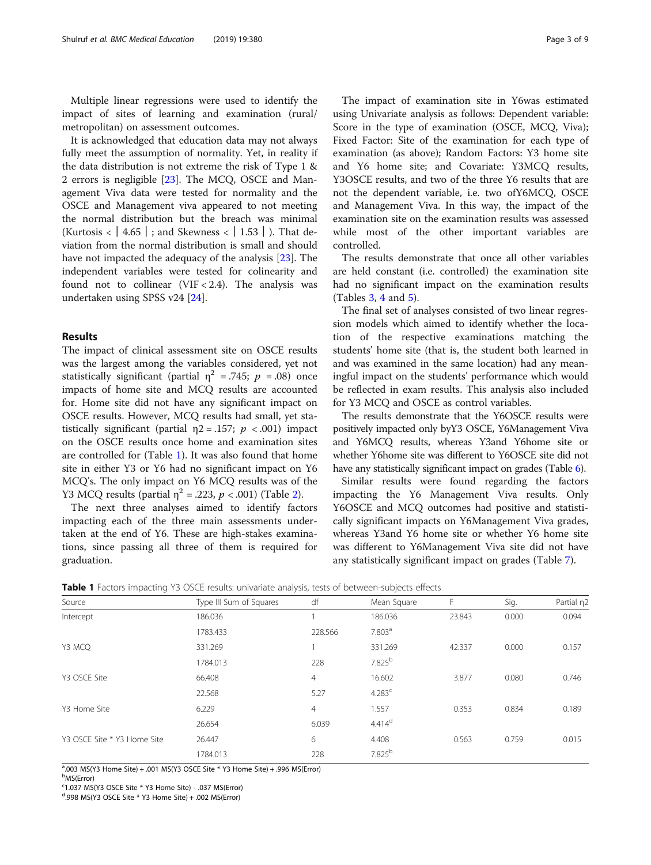Multiple linear regressions were used to identify the impact of sites of learning and examination (rural/ metropolitan) on assessment outcomes.

It is acknowledged that education data may not always fully meet the assumption of normality. Yet, in reality if the data distribution is not extreme the risk of Type 1 & 2 errors is negligible [[23\]](#page-8-0). The MCQ, OSCE and Management Viva data were tested for normality and the OSCE and Management viva appeared to not meeting the normal distribution but the breach was minimal (Kurtosis <  $|4.65|$ ; and Skewness <  $|1.53|$ ). That deviation from the normal distribution is small and should have not impacted the adequacy of the analysis [\[23](#page-8-0)]. The independent variables were tested for colinearity and found not to collinear (VIF < 2.4). The analysis was undertaken using SPSS v24 [[24](#page-8-0)].

#### Results

The impact of clinical assessment site on OSCE results was the largest among the variables considered, yet not statistically significant (partial  $\eta^2$  = .745;  $p$  = .08) once impacts of home site and MCQ results are accounted for. Home site did not have any significant impact on OSCE results. However, MCQ results had small, yet statistically significant (partial  $\eta$ 2 = .157; *p* < .001) impact on the OSCE results once home and examination sites are controlled for (Table 1). It was also found that home site in either Y3 or Y6 had no significant impact on Y6 MCQ's. The only impact on Y6 MCQ results was of the Y3 MCQ results (partial  $\eta^2$  = .223,  $p < .001$ ) (Table [2\)](#page-3-0).

The next three analyses aimed to identify factors impacting each of the three main assessments undertaken at the end of Y6. These are high-stakes examinations, since passing all three of them is required for graduation.

The impact of examination site in Y6was estimated using Univariate analysis as follows: Dependent variable: Score in the type of examination (OSCE, MCQ, Viva); Fixed Factor: Site of the examination for each type of examination (as above); Random Factors: Y3 home site and Y6 home site; and Covariate: Y3MCQ results, Y3OSCE results, and two of the three Y6 results that are not the dependent variable, i.e. two ofY6MCQ, OSCE and Management Viva. In this way, the impact of the examination site on the examination results was assessed while most of the other important variables are controlled.

The results demonstrate that once all other variables are held constant (i.e. controlled) the examination site had no significant impact on the examination results (Tables [3,](#page-4-0) [4](#page-5-0) and [5](#page-6-0)).

The final set of analyses consisted of two linear regression models which aimed to identify whether the location of the respective examinations matching the students' home site (that is, the student both learned in and was examined in the same location) had any meaningful impact on the students' performance which would be reflected in exam results. This analysis also included for Y3 MCQ and OSCE as control variables.

The results demonstrate that the Y6OSCE results were positively impacted only byY3 OSCE, Y6Management Viva and Y6MCQ results, whereas Y3and Y6home site or whether Y6home site was different to Y6OSCE site did not have any statistically significant impact on grades (Table [6](#page-6-0)).

Similar results were found regarding the factors impacting the Y6 Management Viva results. Only Y6OSCE and MCQ outcomes had positive and statistically significant impacts on Y6Management Viva grades, whereas Y3and Y6 home site or whether Y6 home site was different to Y6Management Viva site did not have any statistically significant impact on grades (Table [7\)](#page-7-0).

| Source                      | Type III Sum of Squares | df             | Mean Square        | F      | Sig.  | Partial n2 |
|-----------------------------|-------------------------|----------------|--------------------|--------|-------|------------|
| Intercept                   | 186.036                 |                | 186.036            | 23.843 | 0.000 | 0.094      |
|                             | 1783.433                | 228.566        | $7.803^{\circ}$    |        |       |            |
| Y3 MCQ                      | 331.269                 |                | 331.269            | 42.337 | 0.000 | 0.157      |
|                             | 1784.013                | 228            | 7.825 <sup>b</sup> |        |       |            |
| Y3 OSCE Site                | 66.408                  | 4              | 16.602             | 3.877  | 0.080 | 0.746      |
|                             | 22.568                  | 5.27           | $4.283^{c}$        |        |       |            |
| Y3 Home Site                | 6.229                   | $\overline{4}$ | 1.557              | 0.353  | 0.834 | 0.189      |
|                             | 26.654                  | 6.039          | 4.414 <sup>d</sup> |        |       |            |
| Y3 OSCE Site * Y3 Home Site | 26.447                  | 6              | 4.408              | 0.563  | 0.759 | 0.015      |
|                             | 1784.013                | 228            | 7.825 <sup>b</sup> |        |       |            |

**Table 1** Factors impacting Y3 OSCE results: univariate analysis, tests of between-subjects effects

<sup>a</sup>.003 MS(Y3 Home Site) + .001 MS(Y3 OSCE Site \* Y3 Home Site) + .996 MS(Error)

<sup>b</sup>MS(Error)

<sup>c</sup>1.037 MS(Y3 OSCE Site \* Y3 Home Site) - .037 MS(Error)

d .998 MS(Y3 OSCE Site \* Y3 Home Site) + .002 MS(Error)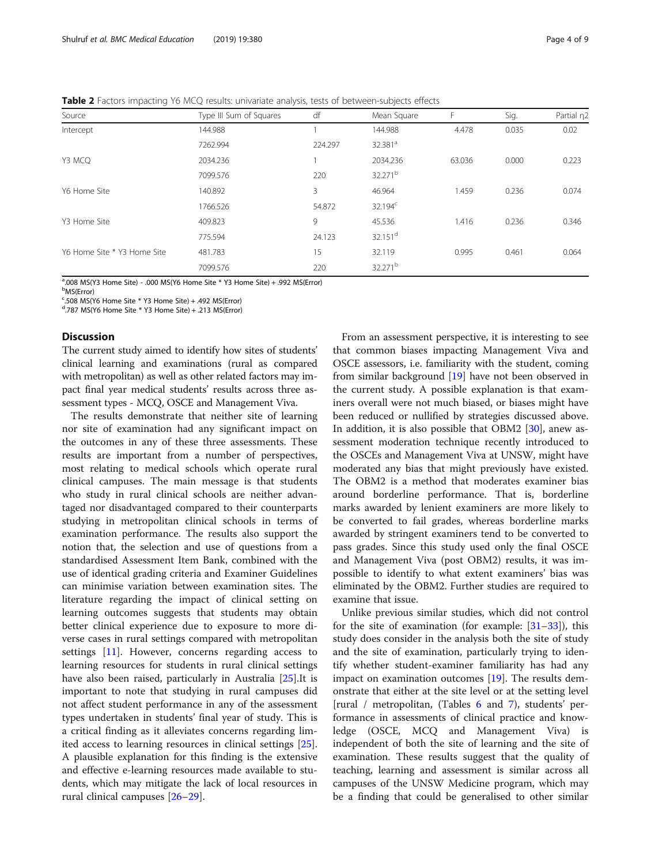<span id="page-3-0"></span>Table 2 Factors impacting Y6 MCQ results: univariate analysis, tests of between-subjects effects

| Source                      | Type III Sum of Squares | df      | Mean Square         | F      | Sig.  | Partial n2 |
|-----------------------------|-------------------------|---------|---------------------|--------|-------|------------|
| Intercept                   | 144.988                 |         | 144.988             | 4.478  | 0.035 | 0.02       |
|                             | 7262.994                | 224.297 | 32.381 <sup>a</sup> |        |       |            |
| Y3 MCQ                      | 2034.236                |         | 2034.236            | 63.036 | 0.000 | 0.223      |
|                             | 7099.576                | 220     | 32.271 <sup>b</sup> |        |       |            |
| Y6 Home Site                | 140.892                 | 3       | 46.964              | 1.459  | 0.236 | 0.074      |
|                             | 1766.526                | 54.872  | 32.194 <sup>c</sup> |        |       |            |
| Y3 Home Site                | 409.823                 | 9       | 45.536              | 1.416  | 0.236 | 0.346      |
|                             | 775.594                 | 24.123  | 32.151 <sup>d</sup> |        |       |            |
| Y6 Home Site * Y3 Home Site | 481.783                 | 15      | 32.119              | 0.995  | 0.461 | 0.064      |
|                             | 7099.576                | 220     | 32.271 <sup>b</sup> |        |       |            |

<sup>a</sup>.008 MS(Y3 Home Site) - .000 MS(Y6 Home Site \* Y3 Home Site) + .992 MS(Error)

<sup>b</sup>MS(Error)

<sup>c</sup>.508 MS(Y6 Home Site \* Y3 Home Site) + .492 MS(Error)

d .787 MS(Y6 Home Site \* Y3 Home Site) + .213 MS(Error)

#### **Discussion**

The current study aimed to identify how sites of students' clinical learning and examinations (rural as compared with metropolitan) as well as other related factors may impact final year medical students' results across three assessment types - MCQ, OSCE and Management Viva.

The results demonstrate that neither site of learning nor site of examination had any significant impact on the outcomes in any of these three assessments. These results are important from a number of perspectives, most relating to medical schools which operate rural clinical campuses. The main message is that students who study in rural clinical schools are neither advantaged nor disadvantaged compared to their counterparts studying in metropolitan clinical schools in terms of examination performance. The results also support the notion that, the selection and use of questions from a standardised Assessment Item Bank, combined with the use of identical grading criteria and Examiner Guidelines can minimise variation between examination sites. The literature regarding the impact of clinical setting on learning outcomes suggests that students may obtain better clinical experience due to exposure to more diverse cases in rural settings compared with metropolitan settings [\[11\]](#page-7-0). However, concerns regarding access to learning resources for students in rural clinical settings have also been raised, particularly in Australia [[25](#page-8-0)].It is important to note that studying in rural campuses did not affect student performance in any of the assessment types undertaken in students' final year of study. This is a critical finding as it alleviates concerns regarding limited access to learning resources in clinical settings [\[25](#page-8-0)]. A plausible explanation for this finding is the extensive and effective e-learning resources made available to students, which may mitigate the lack of local resources in rural clinical campuses [[26](#page-8-0)–[29](#page-8-0)].

From an assessment perspective, it is interesting to see that common biases impacting Management Viva and OSCE assessors, i.e. familiarity with the student, coming from similar background [\[19](#page-8-0)] have not been observed in the current study. A possible explanation is that examiners overall were not much biased, or biases might have been reduced or nullified by strategies discussed above. In addition, it is also possible that OBM2 [[30\]](#page-8-0), anew assessment moderation technique recently introduced to the OSCEs and Management Viva at UNSW, might have moderated any bias that might previously have existed. The OBM2 is a method that moderates examiner bias around borderline performance. That is, borderline marks awarded by lenient examiners are more likely to be converted to fail grades, whereas borderline marks awarded by stringent examiners tend to be converted to pass grades. Since this study used only the final OSCE and Management Viva (post OBM2) results, it was impossible to identify to what extent examiners' bias was eliminated by the OBM2. Further studies are required to examine that issue.

Unlike previous similar studies, which did not control for the site of examination (for example: [\[31](#page-8-0)–[33](#page-8-0)]), this study does consider in the analysis both the site of study and the site of examination, particularly trying to identify whether student-examiner familiarity has had any impact on examination outcomes [\[19](#page-8-0)]. The results demonstrate that either at the site level or at the setting level [rural / metropolitan, (Tables [6](#page-6-0) and [7](#page-7-0)), students' performance in assessments of clinical practice and knowledge (OSCE, MCQ and Management Viva) is independent of both the site of learning and the site of examination. These results suggest that the quality of teaching, learning and assessment is similar across all campuses of the UNSW Medicine program, which may be a finding that could be generalised to other similar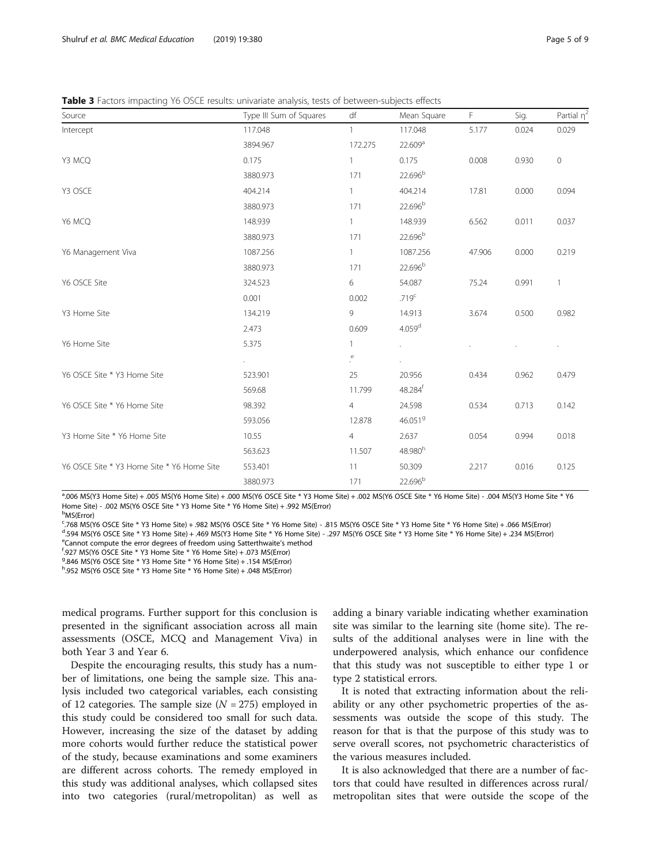<span id="page-4-0"></span>Table 3 Factors impacting Y6 OSCE results: univariate analysis, tests of between-subjects effects

| Source                                     | Type III Sum of Squares | df                 | Mean Square          | F      | Sig.  | Partial $\eta^2$ |
|--------------------------------------------|-------------------------|--------------------|----------------------|--------|-------|------------------|
| Intercept                                  | 117.048                 | $\mathbf{1}$       | 117.048              | 5.177  | 0.024 | 0.029            |
|                                            | 3894.967                | 172.275            | 22.609 <sup>a</sup>  |        |       |                  |
| Y3 MCQ                                     | 0.175                   | $\mathbf{1}$       | 0.175                | 0.008  | 0.930 | $\circ$          |
|                                            | 3880.973                | 171                | 22.696 <sup>b</sup>  |        |       |                  |
| Y3 OSCE                                    | 404.214                 | $\overline{1}$     | 404.214              | 17.81  | 0.000 | 0.094            |
|                                            | 3880.973                | 171                | 22.696 <sup>b</sup>  |        |       |                  |
| Y6 MCQ                                     | 148.939                 | $\mathbf{1}$       | 148.939              | 6.562  | 0.011 | 0.037            |
|                                            | 3880.973                | 171                | 22.696 <sup>b</sup>  |        |       |                  |
| Y6 Management Viva                         | 1087.256                | $\mathbf{1}$       | 1087.256             | 47.906 | 0.000 | 0.219            |
|                                            | 3880.973                | 171                | 22.696 <sup>b</sup>  |        |       |                  |
| Y6 OSCE Site                               | 324.523                 | 6                  | 54.087               | 75.24  | 0.991 | $\mathbf{1}$     |
|                                            | 0.001                   | 0.002              | .719 <sup>c</sup>    |        |       |                  |
| Y3 Home Site                               | 134.219                 | 9                  | 14.913               | 3.674  | 0.500 | 0.982            |
|                                            | 2.473                   | 0.609              | 4.059 <sup>d</sup>   |        |       |                  |
| Y6 Home Site                               | 5.375                   | $\mathbf{1}$       | $\ddot{\phantom{0}}$ |        |       |                  |
|                                            | c.                      | $\rlap{.}^{\rm e}$ |                      |        |       |                  |
| Y6 OSCE Site * Y3 Home Site                | 523.901                 | 25                 | 20.956               | 0.434  | 0.962 | 0.479            |
|                                            | 569.68                  | 11.799             | 48.284 <sup>f</sup>  |        |       |                  |
| Y6 OSCE Site * Y6 Home Site                | 98.392                  | $\overline{4}$     | 24.598               | 0.534  | 0.713 | 0.142            |
|                                            | 593.056                 | 12.878             | 46.0519              |        |       |                  |
| Y3 Home Site * Y6 Home Site                | 10.55                   | $\overline{4}$     | 2.637                | 0.054  | 0.994 | 0.018            |
|                                            | 563.623                 | 11.507             | 48.980 <sup>h</sup>  |        |       |                  |
| Y6 OSCE Site * Y3 Home Site * Y6 Home Site | 553.401                 | 11                 | 50.309               | 2.217  | 0.016 | 0.125            |
|                                            | 3880.973                | 171                | 22.696 <sup>b</sup>  |        |       |                  |

a .006 MS(Y3 Home Site) + .005 MS(Y6 Home Site) + .000 MS(Y6 OSCE Site \* Y3 Home Site) + .002 MS(Y6 OSCE Site \* Y6 Home Site) - .004 MS(Y3 Home Site \* Y6 Home Site) - .002 MS(Y6 OSCE Site \* Y3 Home Site \* Y6 Home Site) + .992 MS(Error)

<sup>b</sup>MS(Error)

c .768 MS(Y6 OSCE Site \* Y3 Home Site) + .982 MS(Y6 OSCE Site \* Y6 Home Site) - .815 MS(Y6 OSCE Site \* Y3 Home Site \* Y6 Home Site) + .066 MS(Error) d .594 MS(Y6 OSCE Site \* Y3 Home Site) + .469 MS(Y3 Home Site \* Y6 Home Site) - .297 MS(Y6 OSCE Site \* Y3 Home Site \* Y6 Home Site) + .234 MS(Error)

<sup>e</sup>Cannot compute the error degrees of freedom using Satterthwaite's method<br>f 927 MS(Y6 OSCE Site \* Y3 Home Site \* Y6 Home Site) + 073 MS(Error)

.927 MS(Y6 OSCE Site \* Y3 Home Site \* Y6 Home Site) + .073 MS(Error)

9.846 MS(Y6 OSCE Site \* Y3 Home Site \* Y6 Home Site) + .154 MS(Error)

<sup>h</sup>.952 MS(Y6 OSCE Site \* Y3 Home Site \* Y6 Home Site) + .048 MS(Error)

medical programs. Further support for this conclusion is presented in the significant association across all main assessments (OSCE, MCQ and Management Viva) in both Year 3 and Year 6.

Despite the encouraging results, this study has a number of limitations, one being the sample size. This analysis included two categorical variables, each consisting of 12 categories. The sample size  $(N = 275)$  employed in this study could be considered too small for such data. However, increasing the size of the dataset by adding more cohorts would further reduce the statistical power of the study, because examinations and some examiners are different across cohorts. The remedy employed in this study was additional analyses, which collapsed sites into two categories (rural/metropolitan) as well as adding a binary variable indicating whether examination site was similar to the learning site (home site). The results of the additional analyses were in line with the underpowered analysis, which enhance our confidence that this study was not susceptible to either type 1 or type 2 statistical errors.

It is noted that extracting information about the reliability or any other psychometric properties of the assessments was outside the scope of this study. The reason for that is that the purpose of this study was to serve overall scores, not psychometric characteristics of the various measures included.

It is also acknowledged that there are a number of factors that could have resulted in differences across rural/ metropolitan sites that were outside the scope of the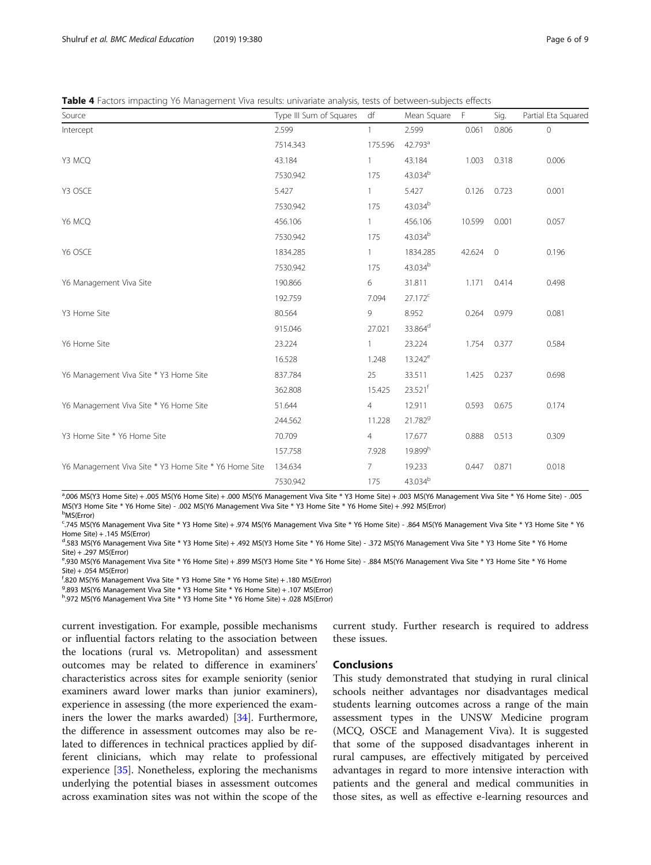a .006 MS(Y3 Home Site) + .005 MS(Y6 Home Site) + .000 MS(Y6 Management Viva Site \* Y3 Home Site) + .003 MS(Y6 Management Viva Site \* Y6 Home Site) - .005 MS(Y3 Home Site \* Y6 Home Site) - .002 MS(Y6 Management Viva Site \* Y3 Home Site \* Y6 Home Site) + .992 MS(Error)

<sup>b</sup>MS(Error) <sup>c</sup>.745 MS(Y6 Management Viva Site \* Y3 Home Site) + .974 MS(Y6 Management Viva Site \* Y6 Home Site) - .864 MS(Y6 Management Viva Site \* Y3 Home Site \* Y6 Home Site) + .145 MS(Error)

d.<br>583 MS(Y6 Management Viva Site \* Y3 Home Site) + .492 MS(Y3 Home Site \* Y6 Home Site) - .372 MS(Y6 Management Viva Site \* Y3 Home Site \* Y6 Home Site) + .297 MS(Error)

end MS(Y6 Management Viva Site \* Y6 Home Site) + .899 MS(Y3 Home Site \* Y6 Home Site) - .884 MS(Y6 Management Viva Site \* Y3 Home Site \* Y6 Home Site) + .054 MS(Error)

f .820 MS(Y6 Management Viva Site \* Y3 Home Site \* Y6 Home Site) + .180 MS(Error)

9.893 MS(Y6 Management Viva Site \* Y3 Home Site \* Y6 Home Site) + .107 MS(Error)

h.972 MS(Y6 Management Viva Site \* Y3 Home Site \* Y6 Home Site) + .028 MS(Error)

current investigation. For example, possible mechanisms or influential factors relating to the association between the locations (rural vs. Metropolitan) and assessment outcomes may be related to difference in examiners' characteristics across sites for example seniority (senior examiners award lower marks than junior examiners), experience in assessing (the more experienced the examiners the lower the marks awarded) [[34\]](#page-8-0). Furthermore, the difference in assessment outcomes may also be related to differences in technical practices applied by different clinicians, which may relate to professional experience [\[35\]](#page-8-0). Nonetheless, exploring the mechanisms underlying the potential biases in assessment outcomes across examination sites was not within the scope of the

current study. Further research is required to address these issues.

#### Conclusions

This study demonstrated that studying in rural clinical schools neither advantages nor disadvantages medical students learning outcomes across a range of the main assessment types in the UNSW Medicine program (MCQ, OSCE and Management Viva). It is suggested that some of the supposed disadvantages inherent in rural campuses, are effectively mitigated by perceived advantages in regard to more intensive interaction with patients and the general and medical communities in those sites, as well as effective e-learning resources and

<span id="page-5-0"></span>

|  |  |  |  | Table 4 Factors impacting Y6 Management Viva results: univariate analysis, tests of between-subjects effects |  |  |
|--|--|--|--|--------------------------------------------------------------------------------------------------------------|--|--|
|--|--|--|--|--------------------------------------------------------------------------------------------------------------|--|--|

| Source                                                | Type III Sum of Squares | df             | Mean Square         | F      | Sig.           | Partial Eta Squared |
|-------------------------------------------------------|-------------------------|----------------|---------------------|--------|----------------|---------------------|
| Intercept                                             | 2.599                   | 1              | 2.599               | 0.061  | 0.806          | $\mathbb O$         |
|                                                       | 7514.343                | 175.596        | 42.793 <sup>a</sup> |        |                |                     |
| Y3 MCQ                                                | 43.184                  | $\mathbf{1}$   | 43.184              | 1.003  | 0.318          | 0.006               |
|                                                       | 7530.942                | 175            | 43.034 <sup>b</sup> |        |                |                     |
| Y3 OSCE                                               | 5.427                   | 1              | 5.427               | 0.126  | 0.723          | 0.001               |
|                                                       | 7530.942                | 175            | 43.034 <sup>b</sup> |        |                |                     |
| Y6 MCQ                                                | 456.106                 | $\mathbf{1}$   | 456.106             | 10.599 | 0.001          | 0.057               |
|                                                       | 7530.942                | 175            | 43.034 <sup>b</sup> |        |                |                     |
| Y6 OSCE                                               | 1834.285                | $\mathbf{1}$   | 1834.285            | 42.624 | $\overline{0}$ | 0.196               |
|                                                       | 7530.942                | 175            | 43.034 <sup>b</sup> |        |                |                     |
| Y6 Management Viva Site                               | 190.866                 | 6              | 31.811              | 1.171  | 0.414          | 0.498               |
|                                                       | 192.759                 | 7.094          | $27.172^c$          |        |                |                     |
| Y3 Home Site                                          | 80.564                  | 9              | 8.952               | 0.264  | 0.979          | 0.081               |
|                                                       | 915.046                 | 27.021         | 33.864 <sup>d</sup> |        |                |                     |
| Y6 Home Site                                          | 23.224                  | $\mathbf{1}$   | 23.224              | 1.754  | 0.377          | 0.584               |
|                                                       | 16.528                  | 1.248          | $13.242^e$          |        |                |                     |
| Y6 Management Viva Site * Y3 Home Site                | 837.784                 | 25             | 33.511              | 1.425  | 0.237          | 0.698               |
|                                                       | 362.808                 | 15.425         | 23.521 <sup>f</sup> |        |                |                     |
| Y6 Management Viva Site * Y6 Home Site                | 51.644                  | $\overline{4}$ | 12.911              | 0.593  | 0.675          | 0.174               |
|                                                       | 244.562                 | 11.228         | 21.7829             |        |                |                     |
| Y3 Home Site * Y6 Home Site                           | 70.709                  | $\overline{4}$ | 17.677              | 0.888  | 0.513          | 0.309               |
|                                                       | 157.758                 | 7.928          | 19.899h             |        |                |                     |
| Y6 Management Viva Site * Y3 Home Site * Y6 Home Site | 134.634                 | 7              | 19.233              | 0.447  | 0.871          | 0.018               |
|                                                       | 7530.942                | 175            | 43.034 <sup>b</sup> |        |                |                     |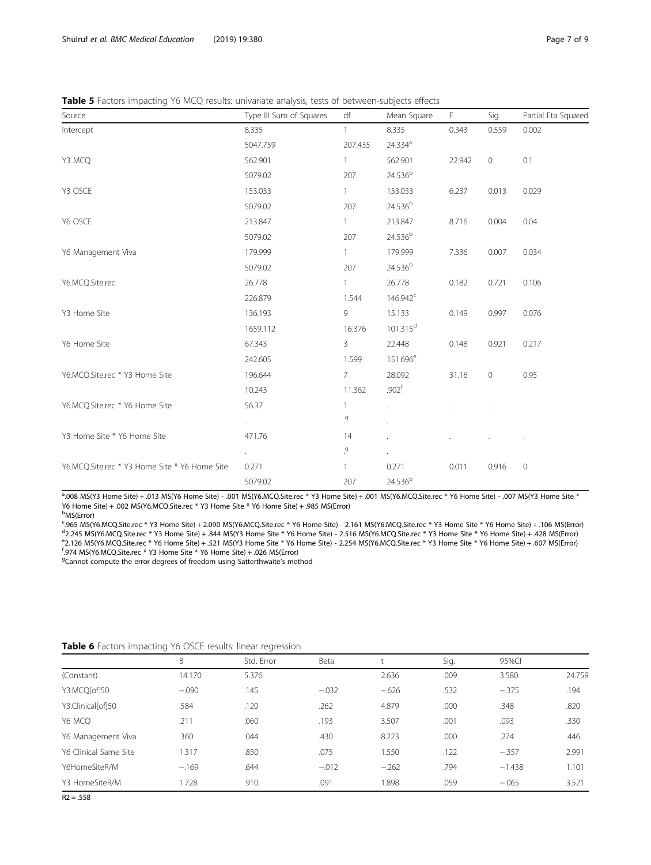<span id="page-6-0"></span>Table 5 Factors impacting Y6 MCQ results: univariate analysis, tests of between-subjects effects

| Source                                        | Type III Sum of Squares | df                 | Mean Square          | F      | Sig.        | Partial Eta Squarec |
|-----------------------------------------------|-------------------------|--------------------|----------------------|--------|-------------|---------------------|
| Intercept                                     | 8.335                   | $\mathbf{1}$       | 8.335                | 0.343  | 0.559       | 0.002               |
|                                               | 5047.759                | 207.435            | 24.334 <sup>a</sup>  |        |             |                     |
| Y3 MCQ                                        | 562.901                 | $\mathbf{1}$       | 562.901              | 22.942 | $\mathbf 0$ | 0.1                 |
|                                               | 5079.02                 | 207                | 24.536 <sup>b</sup>  |        |             |                     |
| Y3 OSCE                                       | 153.033                 | $\mathbf{1}$       | 153.033              | 6.237  | 0.013       | 0.029               |
|                                               | 5079.02                 | 207                | 24.536 <sup>b</sup>  |        |             |                     |
| Y6 OSCE                                       | 213.847                 | $\overline{1}$     | 213.847              | 8.716  | 0.004       | 0.04                |
|                                               | 5079.02                 | 207                | 24.536 <sup>b</sup>  |        |             |                     |
| Y6 Management Viva                            | 179.999                 | $\mathbf{1}$       | 179.999              | 7.336  | 0.007       | 0.034               |
|                                               | 5079.02                 | 207                | 24.536 <sup>b</sup>  |        |             |                     |
| Y6.MCQ.Site.rec                               | 26.778                  | $\mathbf{1}$       | 26.778               | 0.182  | 0.721       | 0.106               |
|                                               | 226.879                 | 1.544              | $146.942^c$          |        |             |                     |
| Y3 Home Site                                  | 136.193                 | 9                  | 15.133               | 0.149  | 0.997       | 0.076               |
|                                               | 1659.112                | 16.376             | $101.315^{d}$        |        |             |                     |
| Y6 Home Site                                  | 67.343                  | 3                  | 22.448               | 0.148  | 0.921       | 0.217               |
|                                               | 242.605                 | 1.599              | 151.696 <sup>e</sup> |        |             |                     |
| Y6.MCQ.Site.rec * Y3 Home Site                | 196.644                 | $\overline{7}$     | 28.092               | 31.16  | 0           | 0.95                |
|                                               | 10.243                  | 11.362             | .902 <sup>f</sup>    |        |             |                     |
| Y6.MCQ.Site.rec * Y6 Home Site                | 56.37                   | $\mathbf{1}$       |                      |        |             |                     |
|                                               |                         | $\cdot^\mathrm{g}$ |                      |        |             |                     |
| Y3 Home Site * Y6 Home Site                   | 471.76                  | 14                 |                      |        |             |                     |
|                                               | $\epsilon$              | $\cdot^9$          |                      |        |             |                     |
| Y6.MCQ.Site.rec * Y3 Home Site * Y6 Home Site | 0.271                   | 1                  | 0.271                | 0.011  | 0.916       | $\overline{0}$      |
|                                               | 5079.02                 | 207                | 24.536 <sup>b</sup>  |        |             |                     |

a .008 MS(Y3 Home Site) + .013 MS(Y6 Home Site) - .001 MS(Y6.MCQ.Site.rec \* Y3 Home Site) + .001 MS(Y6.MCQ.Site.rec \* Y6 Home Site) - .007 MS(Y3 Home Site \* Y6 Home Site) + .002 MS(Y6.MCQ.Site.rec \* Y3 Home Site \* Y6 Home Site) + .985 MS(Error)

<sup>b</sup>MS(Error)

<sup>c</sup>.965 MS(Y6.MCQ.Site.rec \* Y3 Home Site) + 2.090 MS(Y6.MCQ.Site.rec \* Y6 Home Site) - 2.161 MS(Y6.MCQ.Site.rec \* Y3 Home Site \* Y6 Home Site) + .106 MS(Error)<br><sup>d</sup>2.245 MS(Y6.MCQ.Site.rec \* Y3 Home Site) + .844 MS(Y3 Home <sup>e</sup>2.126 MS(Y6.MCQ.Site.rec \* Y6 Home Site) + .521 MS(Y3 Home Site \* Y6 Home Site) - 2.254 MS(Y6.MCQ.Site.rec \* Y3 Home Site \* Y6 Home Site) + .607 MS(Error)<br><sup>f</sup>.974 MS(Y6.MCQ.Site.rec \* Y3 Home Site \* Y6 Home Site) + .026

<sup>g</sup>Cannot compute the error degrees of freedom using Satterthwaite's method

|                       | B       | Std. Error | Beta    |         | Sig. | 95%CI    |        |
|-----------------------|---------|------------|---------|---------|------|----------|--------|
| (Constant)            | 14.170  | 5.376      |         | 2.636   | .009 | 3.580    | 24.759 |
| Y3.MCQ[of]50          | $-.090$ | .145       | $-.032$ | $-.626$ | .532 | $-.375$  | .194   |
| Y3.Clinical[of]50     | .584    | .120       | .262    | 4.879   | .000 | .348     | .820   |
| Y6 MCO                | .211    | .060       | .193    | 3.507   | .001 | .093     | .330   |
| Y6 Management Viva    | .360    | .044       | .430    | 8.223   | .000 | .274     | .446   |
| Y6 Clinical Same Site | .317    | .850       | .075    | .550    | .122 | $-.357$  | 2.991  |
| Y6HomeSiteR/M         | $-.169$ | .644       | $-.012$ | $-262$  | .794 | $-1.438$ | 1.101  |
| Y3 HomeSiteR/M        | 1.728   | .910       | .091    | .898    | .059 | $-.065$  | 3.521  |

Table 6 Factors impacting Y6 OSCE results: linear regression

 $R2 = .558$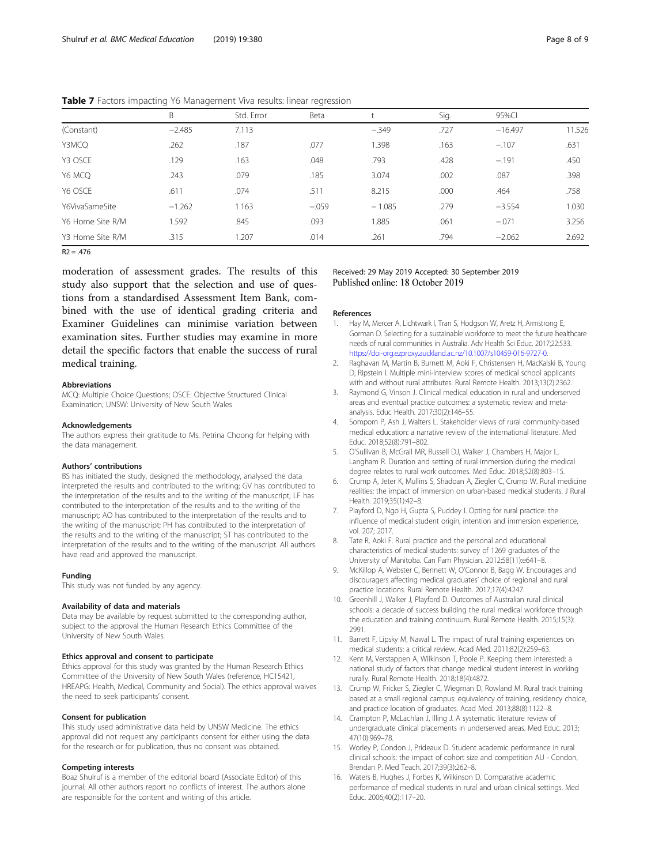|                  | B        | Std. Error | Beta    |          | Sig. | 95%CI     |        |
|------------------|----------|------------|---------|----------|------|-----------|--------|
| (Constant)       | $-2.485$ | 7.113      |         | $-.349$  | .727 | $-16.497$ | 11.526 |
| Y3MCQ            | .262     | .187       | .077    | 1.398    | .163 | $-.107$   | .631   |
| Y3 OSCE          | .129     | .163       | .048    | .793     | .428 | $-.191$   | .450   |
| Y6 MCQ           | .243     | .079       | .185    | 3.074    | .002 | .087      | .398   |
| Y6 OSCE          | .611     | .074       | .511    | 8.215    | .000 | .464      | .758   |
| Y6VivaSameSite   | $-1.262$ | 1.163      | $-.059$ | $-1.085$ | .279 | $-3.554$  | 1.030  |
| Y6 Home Site R/M | 1.592    | .845       | .093    | 885.     | .061 | $-.071$   | 3.256  |
| Y3 Home Site R/M | .315     | 1.207      | .014    | .261     | .794 | $-2.062$  | 2.692  |

<span id="page-7-0"></span>Table 7 Factors impacting Y6 Management Viva results: linear regression

 $R2 = .476$ 

moderation of assessment grades. The results of this study also support that the selection and use of questions from a standardised Assessment Item Bank, combined with the use of identical grading criteria and Examiner Guidelines can minimise variation between examination sites. Further studies may examine in more detail the specific factors that enable the success of rural medical training.

#### Abbreviations

MCQ: Multiple Choice Questions; OSCE: Objective Structured Clinical Examination; UNSW: University of New South Wales

#### Acknowledgements

The authors express their gratitude to Ms. Petrina Choong for helping with the data management.

#### Authors' contributions

BS has initiated the study, designed the methodology, analysed the data interpreted the results and contributed to the writing; GV has contributed to the interpretation of the results and to the writing of the manuscript; LF has contributed to the interpretation of the results and to the writing of the manuscript; AO has contributed to the interpretation of the results and to the writing of the manuscript; PH has contributed to the interpretation of the results and to the writing of the manuscript; ST has contributed to the interpretation of the results and to the writing of the manuscript. All authors have read and approved the manuscript.

#### Funding

This study was not funded by any agency.

#### Availability of data and materials

Data may be available by request submitted to the corresponding author, subject to the approval the Human Research Ethics Committee of the University of New South Wales.

#### Ethics approval and consent to participate

Ethics approval for this study was granted by the Human Research Ethics Committee of the University of New South Wales (reference, HC15421, HREAPG: Health, Medical, Community and Social). The ethics approval waives the need to seek participants' consent.

#### Consent for publication

This study used administrative data held by UNSW Medicine. The ethics approval did not request any participants consent for either using the data for the research or for publication, thus no consent was obtained.

#### Competing interests

Boaz Shulruf is a member of the editorial board (Associate Editor) of this journal; All other authors report no conflicts of interest. The authors alone are responsible for the content and writing of this article.

#### Received: 29 May 2019 Accepted: 30 September 2019 Published online: 18 October 2019

#### References

- 1. Hay M, Mercer A, Lichtwark I, Tran S, Hodgson W, Aretz H, Armstrong E, Gorman D. Selecting for a sustainable workforce to meet the future healthcare needs of rural communities in Australia. Adv Health Sci Educ. 2017;22:533. <https://doi-org.ezproxy.auckland.ac.nz/10.1007/s10459-016-9727-0>.
- 2. Raghavan M, Martin B, Burnett M, Aoki F, Christensen H, MacKalski B, Young D, Ripstein I. Multiple mini-interview scores of medical school applicants with and without rural attributes. Rural Remote Health. 2013;13(2):2362.
- 3. Raymond G, Vinson J. Clinical medical education in rural and underserved areas and eventual practice outcomes: a systematic review and metaanalysis. Educ Health. 2017;30(2):146–55.
- 4. Somporn P, Ash J, Walters L. Stakeholder views of rural community-based medical education: a narrative review of the international literature. Med Educ. 2018;52(8):791–802.
- 5. O'Sullivan B, McGrail MR, Russell DJ, Walker J, Chambers H, Major L, Langham R. Duration and setting of rural immersion during the medical degree relates to rural work outcomes. Med Educ. 2018;52(8):803–15.
- 6. Crump A, Jeter K, Mullins S, Shadoan A, Ziegler C, Crump W. Rural medicine realities: the impact of immersion on urban-based medical students. J Rural Health. 2019;35(1):42–8.
- 7. Playford D, Ngo H, Gupta S, Puddey I. Opting for rural practice: the influence of medical student origin, intention and immersion experience, vol. 207; 2017.
- 8. Tate R, Aoki F. Rural practice and the personal and educational characteristics of medical students: survey of 1269 graduates of the University of Manitoba. Can Fam Physician. 2012;58(11):e641–8.
- 9. McKillop A, Webster C, Bennett W, O'Connor B, Bagg W. Encourages and discouragers affecting medical graduates' choice of regional and rural practice locations. Rural Remote Health. 2017;17(4):4247.
- 10. Greenhill J, Walker J, Playford D. Outcomes of Australian rural clinical schools: a decade of success building the rural medical workforce through the education and training continuum. Rural Remote Health. 2015;15(3): 2991.
- 11. Barrett F, Lipsky M, Nawal L. The impact of rural training experiences on medical students: a critical review. Acad Med. 2011;82(2):259–63.
- 12. Kent M, Verstappen A, Wilkinson T, Poole P. Keeping them interested: a national study of factors that change medical student interest in working rurally. Rural Remote Health. 2018;18(4):4872.
- 13. Crump W, Fricker S, Ziegler C, Wiegman D, Rowland M. Rural track training based at a small regional campus: equivalency of training, residency choice, and practice location of graduates. Acad Med. 2013;88(8):1122–8.
- 14. Crampton P, McLachlan J, Illing J. A systematic literature review of undergraduate clinical placements in underserved areas. Med Educ. 2013; 47(10):969–78.
- 15. Worley P, Condon J, Prideaux D. Student academic performance in rural clinical schools: the impact of cohort size and competition AU - Condon, Brendan P. Med Teach. 2017;39(3):262–8.
- 16. Waters B, Hughes J, Forbes K, Wilkinson D. Comparative academic performance of medical students in rural and urban clinical settings. Med Educ. 2006;40(2):117–20.